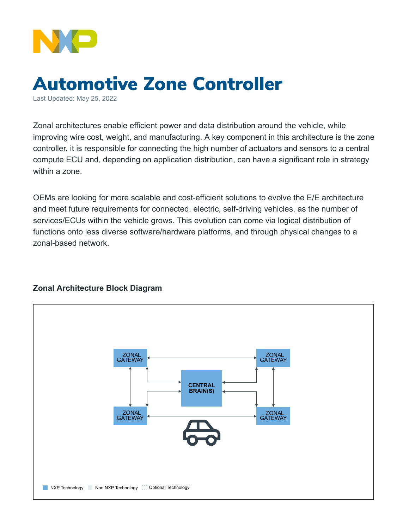

## Automotive Zone Controller

Last Updated: May 25, 2022

Zonal architectures enable efficient power and data distribution around the vehicle, while improving wire cost, weight, and manufacturing. A key component in this architecture is the zone controller, it is responsible for connecting the high number of actuators and sensors to a central compute ECU and, depending on application distribution, can have a significant role in strategy within a zone.

OEMs are looking for more scalable and cost-efficient solutions to evolve the E/E architecture and meet future requirements for connected, electric, self-driving vehicles, as the number of services/ECUs within the vehicle grows. This evolution can come via logical distribution of functions onto less diverse software/hardware platforms, and through physical changes to a zonal-based network.



## **Zonal Architecture Block Diagram**